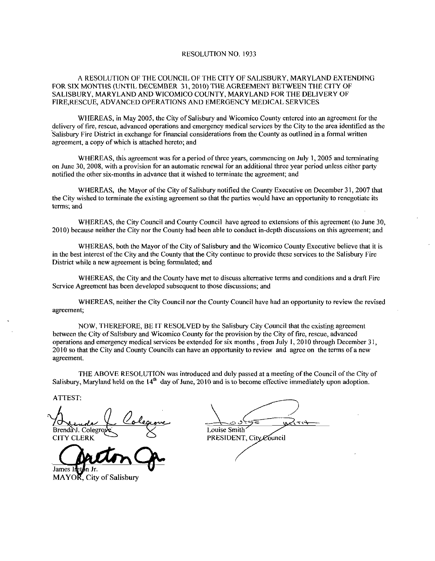## RESOLUTION NO. 1933

## A RESOLUTION OF THE COUNCIL OF THE CITY OF SALISBURY, MARYLAND EXTENDING FOR SIX MONTHS UNTIL DECEMBER 31 2010 THE AGREEMENT BETWEEN THE CITY OF SALISBURY MARYLAND AND WICOMICO COUNTY MARYLAND FOR THE DELIVERY OF FIRE RESCUE ADVANCED OPERATIONS AND EMERGENCY MEDICAL SERVICES

WHEREAS, in May 2005, the City of Salisbury and Wicomico County entered into an agreement for the delivery of fire, rescue, advanced operations and emergency medical services by the City to the area identified as the Salisbury Fire District in exchange for financial considerations from the County as outlined in <sup>a</sup> formal written agreement, a copy of which is attached hereto; and

WHEREAS, this agreement was for a period of three years, commencing on July 1, 2005 and terminating on June 30, 2008, with a provision for an automatic renewal for an additional three year period unless either party WHEREAS, this agreement was for a period of three years, commencing on J<br>on June 30, 2008, with a provision for an automatic renewal for an additional three yea<br>notified the other six-months in advance that it wished to te

WHEREAS, the Mayor of the City of Salisbury notified the County Executive on December 31, 2007 that the City wished to terminate the existing agreement so that the parties would have an opportunity to renegotiate its terms; and

WHEREAS, the City Council and County Council have agreed to extensions of this agreement (to June 30, WHEREAS, the City Council and County Council have agreed to extensions of this agreement (to June 30<br>2010) because neither the City nor the County had been able to conduct in-depth discussions on this agreement; and

WHEREAS, both the Mayor of the City of Salisbury and the Wicomico County Executive believe that it is in the best interest of the City and the County that the City continue to provide these services to the Salisbury Fire District while a new agreement is being formulated; and

WHEREAS, the City and the County have met to discuss alternative terms and conditions and a draft Fire Service Agreement has been developed subsequent to those discussions; and

WHEREAS, neither the City Council nor the County Council have had an opportunity to review the revised agreement

NOW THEREFORE BE IT RESOLVED by the Salisbury City Council that the existing agreement between the City of Salisbury and Wicomico County for the provision by the City of fire, rescue, advanced operations and emergency medical services be extended for six months, from July 1, 2010 through December  $31$ , <sup>2010</sup> so that the City and County Councils can have an opportunity to review and agree on the terms of <sup>a</sup> new agreement

THE ABOVE RESOLUTION was introduced and duly passed at a meeting of the Council of the City of Salisbury, Maryland held on the  $14<sup>th</sup>$  day of June, 2010 and is to become effective immediately upon adoption.

ATTEST

ATTEST:<br>Arenda Colegrove Loleanne<br>Brenday. Colegrove Je Louise Smith Trends (Colegrove Louise Sont<br>Brenday Colegrove Louise Smith'

James In  $MAYO\overline{R}$ , City of Salisbury